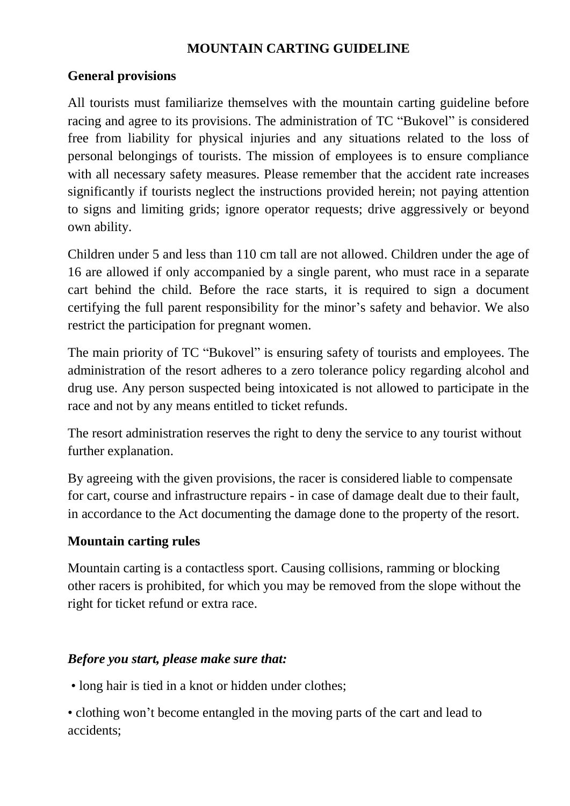# **MOUNTAIN CARTING GUIDELINE**

### **General provisions**

All tourists must familiarize themselves with the mountain carting guideline before racing and agree to its provisions. The administration of TC "Bukovel" is considered free from liability for physical injuries and any situations related to the loss of personal belongings of tourists. The mission of employees is to ensure compliance with all necessary safety measures. Please remember that the accident rate increases significantly if tourists neglect the instructions provided herein; not paying attention to signs and limiting grids; ignore operator requests; drive aggressively or beyond own ability.

Children under 5 and less than 110 cm tall are not allowed. Children under the age of 16 are allowed if only accompanied by a single parent, who must race in a separate cart behind the child. Before the race starts, it is required to sign a document certifying the full parent responsibility for the minor's safety and behavior. We also restrict the participation for pregnant women.

The main priority of TC "Bukovel" is ensuring safety of tourists and employees. The administration of the resort adheres to a zero tolerance policy regarding alcohol and drug use. Any person suspected being intoxicated is not allowed to participate in the race and not by any means entitled to ticket refunds.

The resort administration reserves the right to deny the service to any tourist without further explanation.

By agreeing with the given provisions, the racer is considered liable to compensate for cart, course and infrastructure repairs - in case of damage dealt due to their fault, in accordance to the Act documenting the damage done to the property of the resort.

#### **Mountain carting rules**

Mountain carting is a contactless sport. Causing collisions, ramming or blocking other racers is prohibited, for which you may be removed from the slope without the right for ticket refund or extra race.

#### *Before you start, please make sure that:*

• long hair is tied in a knot or hidden under clothes;

• clothing won't become entangled in the moving parts of the cart and lead to accidents;